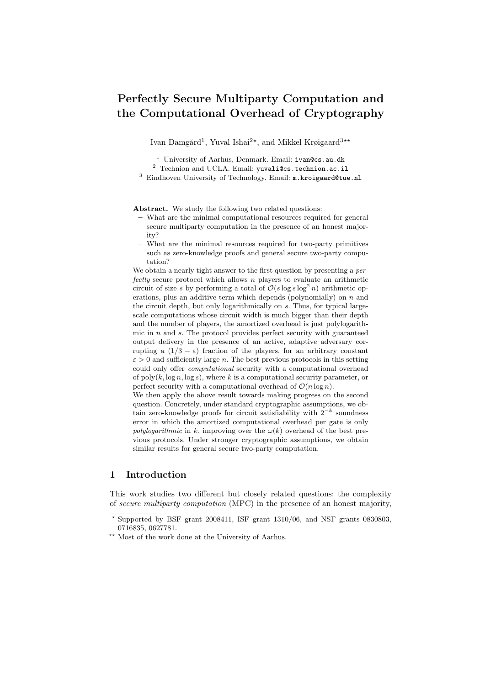# Perfectly Secure Multiparty Computation and the Computational Overhead of Cryptography

Ivan Damgård<sup>1</sup>, Yuval Ishai<sup>2\*</sup>, and Mikkel Krøigaard<sup>3\*\*</sup>

<sup>1</sup> University of Aarhus, Denmark. Email: ivan@cs.au.dk

<sup>2</sup> Technion and UCLA. Email: yuvali@cs.technion.ac.il

<sup>3</sup> Eindhoven University of Technology. Email: m.kroigaard@tue.nl

Abstract. We study the following two related questions:

- What are the minimal computational resources required for general secure multiparty computation in the presence of an honest majority?
- What are the minimal resources required for two-party primitives such as zero-knowledge proofs and general secure two-party computation?

We obtain a nearly tight answer to the first question by presenting a *per* $fectly$  secure protocol which allows  $n$  players to evaluate an arithmetic circuit of size s by performing a total of  $\mathcal{O}(s \log s \log^2 n)$  arithmetic operations, plus an additive term which depends (polynomially) on  $n$  and the circuit depth, but only logarithmically on s. Thus, for typical largescale computations whose circuit width is much bigger than their depth and the number of players, the amortized overhead is just polylogarithmic in  $n$  and  $s$ . The protocol provides perfect security with guaranteed output delivery in the presence of an active, adaptive adversary corrupting a  $(1/3 - \varepsilon)$  fraction of the players, for an arbitrary constant  $\varepsilon > 0$  and sufficiently large n. The best previous protocols in this setting could only offer computational security with a computational overhead of poly $(k, \log n, \log s)$ , where k is a computational security parameter, or perfect security with a computational overhead of  $\mathcal{O}(n \log n)$ .

We then apply the above result towards making progress on the second question. Concretely, under standard cryptographic assumptions, we obtain zero-knowledge proofs for circuit satisfiability with  $2^{-k}$  soundness error in which the amortized computational overhead per gate is only polylogarithmic in k, improving over the  $\omega(k)$  overhead of the best previous protocols. Under stronger cryptographic assumptions, we obtain similar results for general secure two-party computation.

# 1 Introduction

This work studies two different but closely related questions: the complexity of secure multiparty computation (MPC) in the presence of an honest majority,

 $*$  Supported by BSF grant 2008411, ISF grant 1310/06, and NSF grants 0830803, 0716835, 0627781.

<sup>\*\*</sup> Most of the work done at the University of Aarhus.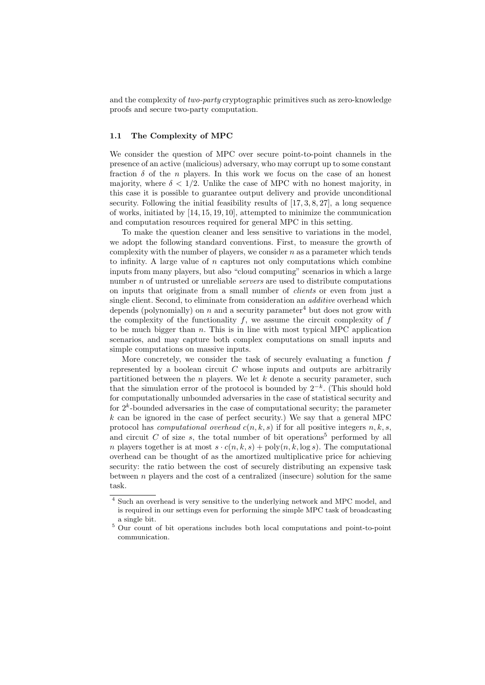and the complexity of two-party cryptographic primitives such as zero-knowledge proofs and secure two-party computation.

#### 1.1 The Complexity of MPC

We consider the question of MPC over secure point-to-point channels in the presence of an active (malicious) adversary, who may corrupt up to some constant fraction  $\delta$  of the *n* players. In this work we focus on the case of an honest majority, where  $\delta < 1/2$ . Unlike the case of MPC with no honest majority, in this case it is possible to guarantee output delivery and provide unconditional security. Following the initial feasibility results of  $[17, 3, 8, 27]$ , a long sequence of works, initiated by [14, 15, 19, 10], attempted to minimize the communication and computation resources required for general MPC in this setting.

To make the question cleaner and less sensitive to variations in the model, we adopt the following standard conventions. First, to measure the growth of complexity with the number of players, we consider  $n$  as a parameter which tends to infinity. A large value of  $n$  captures not only computations which combine inputs from many players, but also "cloud computing" scenarios in which a large number  $n$  of untrusted or unreliable *servers* are used to distribute computations on inputs that originate from a small number of clients or even from just a single client. Second, to eliminate from consideration an *additive* overhead which depends (polynomially) on n and a security parameter<sup>4</sup> but does not grow with the complexity of the functionality  $f$ , we assume the circuit complexity of  $f$ to be much bigger than  $n$ . This is in line with most typical MPC application scenarios, and may capture both complex computations on small inputs and simple computations on massive inputs.

More concretely, we consider the task of securely evaluating a function  $f$ represented by a boolean circuit  $C$  whose inputs and outputs are arbitrarily partitioned between the  $n$  players. We let  $k$  denote a security parameter, such that the simulation error of the protocol is bounded by  $2^{-k}$ . (This should hold for computationally unbounded adversaries in the case of statistical security and for  $2<sup>k</sup>$ -bounded adversaries in the case of computational security; the parameter  $k$  can be ignored in the case of perfect security.) We say that a general MPC protocol has *computational overhead*  $c(n, k, s)$  if for all positive integers  $n, k, s$ , and circuit C of size s, the total number of bit operations<sup>5</sup> performed by all n players together is at most  $s \cdot c(n, k, s) + \text{poly}(n, k, \log s)$ . The computational overhead can be thought of as the amortized multiplicative price for achieving security: the ratio between the cost of securely distributing an expensive task between  $n$  players and the cost of a centralized (insecure) solution for the same task.

<sup>4</sup> Such an overhead is very sensitive to the underlying network and MPC model, and is required in our settings even for performing the simple MPC task of broadcasting a single bit.

<sup>5</sup> Our count of bit operations includes both local computations and point-to-point communication.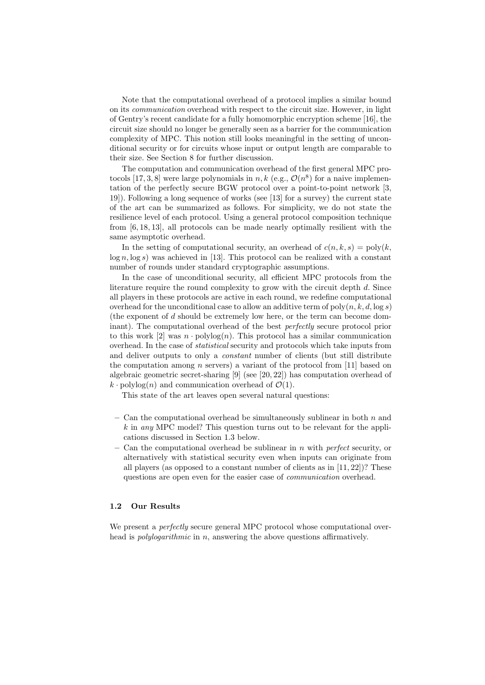Note that the computational overhead of a protocol implies a similar bound on its communication overhead with respect to the circuit size. However, in light of Gentry's recent candidate for a fully homomorphic encryption scheme [16], the circuit size should no longer be generally seen as a barrier for the communication complexity of MPC. This notion still looks meaningful in the setting of unconditional security or for circuits whose input or output length are comparable to their size. See Section 8 for further discussion.

The computation and communication overhead of the first general MPC protocols [17, 3, 8] were large polynomials in  $n, k$  (e.g.,  $\mathcal{O}(n^8)$ ) for a naive implementation of the perfectly secure BGW protocol over a point-to-point network [3, 19]). Following a long sequence of works (see [13] for a survey) the current state of the art can be summarized as follows. For simplicity, we do not state the resilience level of each protocol. Using a general protocol composition technique from [6, 18, 13], all protocols can be made nearly optimally resilient with the same asymptotic overhead.

In the setting of computational security, an overhead of  $c(n, k, s) = \text{poly}(k, s)$  $log n, log s)$  was achieved in [13]. This protocol can be realized with a constant number of rounds under standard cryptographic assumptions.

In the case of unconditional security, all efficient MPC protocols from the literature require the round complexity to grow with the circuit depth d. Since all players in these protocols are active in each round, we redefine computational overhead for the unconditional case to allow an additive term of  $poly(n, k, d, \log s)$ (the exponent of d should be extremely low here, or the term can become dominant). The computational overhead of the best perfectly secure protocol prior to this work [2] was  $n \cdot \text{polylog}(n)$ . This protocol has a similar communication overhead. In the case of statistical security and protocols which take inputs from and deliver outputs to only a constant number of clients (but still distribute the computation among  $n$  servers) a variant of the protocol from [11] based on algebraic geometric secret-sharing [9] (see [20, 22]) has computation overhead of  $k \cdot \text{polylog}(n)$  and communication overhead of  $\mathcal{O}(1)$ .

This state of the art leaves open several natural questions:

- Can the computational overhead be simultaneously sublinear in both n and  $k$  in any MPC model? This question turns out to be relevant for the applications discussed in Section 1.3 below.
- Can the computational overhead be sublinear in  $n$  with *perfect* security, or alternatively with statistical security even when inputs can originate from all players (as opposed to a constant number of clients as in [11, 22])? These questions are open even for the easier case of communication overhead.

#### 1.2 Our Results

We present a *perfectly* secure general MPC protocol whose computational overhead is *polylogarithmic* in  $n$ , answering the above questions affirmatively.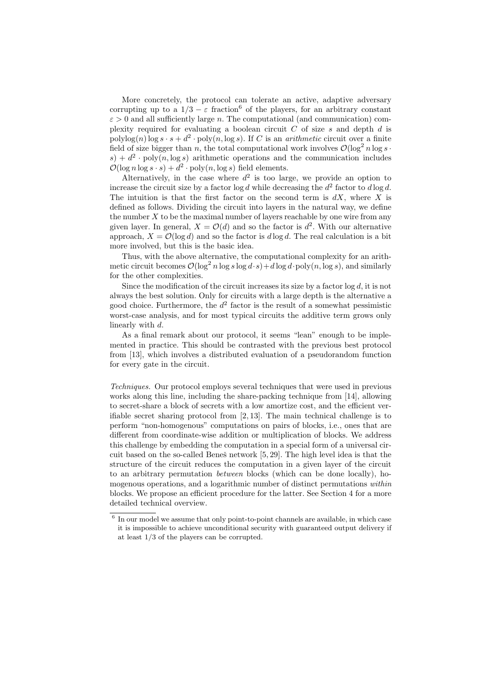More concretely, the protocol can tolerate an active, adaptive adversary corrupting up to a  $1/3 - \varepsilon$  fraction<sup>6</sup> of the players, for an arbitrary constant  $\varepsilon > 0$  and all sufficiently large n. The computational (and communication) complexity required for evaluating a boolean circuit  $C$  of size  $s$  and depth  $d$  is  $\text{polylog}(n) \log s \cdot s + d^2 \cdot \text{poly}(n, \log s)$ . If C is an *arithmetic* circuit over a finite field of size bigger than n, the total computational work involves  $\mathcal{O}(\log^2 n \log s \cdot$  $s$ ) +  $d^2 \cdot \text{poly}(n, \log s)$  arithmetic operations and the communication includes  $\mathcal{O}(\log n \log s \cdot s) + d^2 \cdot \text{poly}(n, \log s)$  field elements.

Alternatively, in the case where  $d^2$  is too large, we provide an option to increase the circuit size by a factor  $\log d$  while decreasing the  $d^2$  factor to  $d \log d$ . The intuition is that the first factor on the second term is  $dX$ , where X is defined as follows. Dividing the circuit into layers in the natural way, we define the number  $X$  to be the maximal number of layers reachable by one wire from any given layer. In general,  $X = \mathcal{O}(d)$  and so the factor is  $d^2$ . With our alternative approach,  $X = \mathcal{O}(\log d)$  and so the factor is  $d \log d$ . The real calculation is a bit more involved, but this is the basic idea.

Thus, with the above alternative, the computational complexity for an arithmetic circuit becomes  $\mathcal{O}(\log^2 n \log s \log d \cdot s) + d \log d \cdot \text{poly}(n, \log s)$ , and similarly for the other complexities.

Since the modification of the circuit increases its size by a factor  $\log d$ , it is not always the best solution. Only for circuits with a large depth is the alternative a good choice. Furthermore, the  $d^2$  factor is the result of a somewhat pessimistic worst-case analysis, and for most typical circuits the additive term grows only linearly with d.

As a final remark about our protocol, it seems "lean" enough to be implemented in practice. This should be contrasted with the previous best protocol from [13], which involves a distributed evaluation of a pseudorandom function for every gate in the circuit.

Techniques. Our protocol employs several techniques that were used in previous works along this line, including the share-packing technique from [14], allowing to secret-share a block of secrets with a low amortize cost, and the efficient verifiable secret sharing protocol from [2, 13]. The main technical challenge is to perform "non-homogenous" computations on pairs of blocks, i.e., ones that are different from coordinate-wise addition or multiplication of blocks. We address this challenge by embedding the computation in a special form of a universal circuit based on the so-called Beneš network [5, 29]. The high level idea is that the structure of the circuit reduces the computation in a given layer of the circuit to an arbitrary permutation between blocks (which can be done locally), homogenous operations, and a logarithmic number of distinct permutations within blocks. We propose an efficient procedure for the latter. See Section 4 for a more detailed technical overview.

<sup>&</sup>lt;sup>6</sup> In our model we assume that only point-to-point channels are available, in which case it is impossible to achieve unconditional security with guaranteed output delivery if at least 1/3 of the players can be corrupted.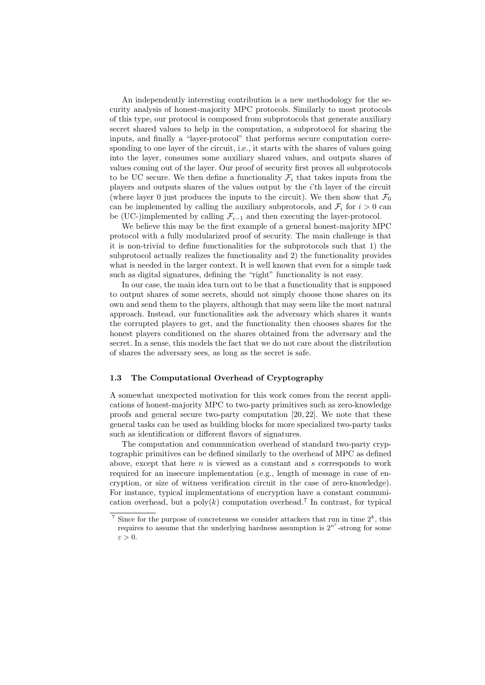An independently interesting contribution is a new methodology for the security analysis of honest-majority MPC protocols. Similarly to most protocols of this type, our protocol is composed from subprotocols that generate auxiliary secret shared values to help in the computation, a subprotocol for sharing the inputs, and finally a "layer-protocol" that performs secure computation corresponding to one layer of the circuit, i.e., it starts with the shares of values going into the layer, consumes some auxiliary shared values, and outputs shares of values coming out of the layer. Our proof of security first proves all subprotocols to be UC secure. We then define a functionality  $\mathcal{F}_i$  that takes inputs from the players and outputs shares of the values output by the i'th layer of the circuit (where layer 0 just produces the inputs to the circuit). We then show that  $\mathcal{F}_0$ can be implemented by calling the auxiliary subprotocols, and  $\mathcal{F}_i$  for  $i > 0$  can be (UC-)implemented by calling  $\mathcal{F}_{i-1}$  and then executing the layer-protocol.

We believe this may be the first example of a general honest-majority MPC protocol with a fully modularized proof of security. The main challenge is that it is non-trivial to define functionalities for the subprotocols such that 1) the subprotocol actually realizes the functionality and 2) the functionality provides what is needed in the larger context. It is well known that even for a simple task such as digital signatures, defining the "right" functionality is not easy.

In our case, the main idea turn out to be that a functionality that is supposed to output shares of some secrets, should not simply choose those shares on its own and send them to the players, although that may seem like the most natural approach. Instead, our functionalities ask the adversary which shares it wants the corrupted players to get, and the functionality then chooses shares for the honest players conditioned on the shares obtained from the adversary and the secret. In a sense, this models the fact that we do not care about the distribution of shares the adversary sees, as long as the secret is safe.

#### 1.3 The Computational Overhead of Cryptography

A somewhat unexpected motivation for this work comes from the recent applications of honest-majority MPC to two-party primitives such as zero-knowledge proofs and general secure two-party computation [20, 22]. We note that these general tasks can be used as building blocks for more specialized two-party tasks such as identification or different flavors of signatures.

The computation and communication overhead of standard two-party cryptographic primitives can be defined similarly to the overhead of MPC as defined above, except that here  $n$  is viewed as a constant and  $s$  corresponds to work required for an insecure implementation (e.g., length of message in case of encryption, or size of witness verification circuit in the case of zero-knowledge). For instance, typical implementations of encryption have a constant communication overhead, but a  $poly(k)$  computation overhead.<sup>7</sup> In contrast, for typical

<sup>&</sup>lt;sup>7</sup> Since for the purpose of concreteness we consider attackers that run in time  $2<sup>k</sup>$ , this requires to assume that the underlying hardness assumption is  $2^{n^{\varepsilon}}$ -strong for some  $\varepsilon > 0$ .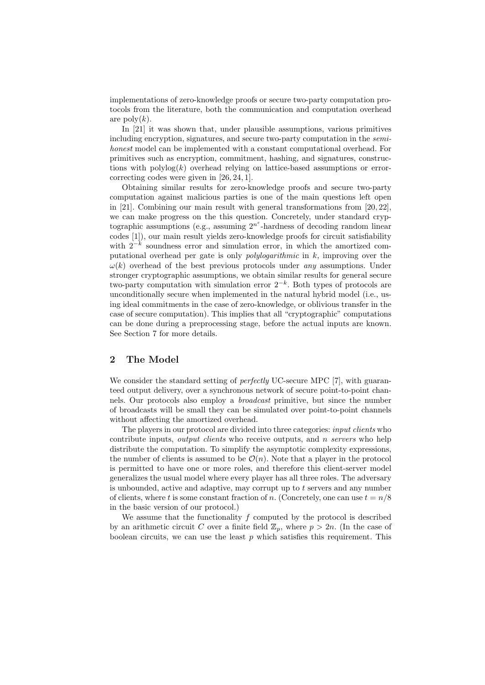implementations of zero-knowledge proofs or secure two-party computation protocols from the literature, both the communication and computation overhead are  $\text{poly}(k)$ .

In [21] it was shown that, under plausible assumptions, various primitives including encryption, signatures, and secure two-party computation in the semihonest model can be implemented with a constant computational overhead. For primitives such as encryption, commitment, hashing, and signatures, constructions with  $polylog(k)$  overhead relying on lattice-based assumptions or errorcorrecting codes were given in [26, 24, 1].

Obtaining similar results for zero-knowledge proofs and secure two-party computation against malicious parties is one of the main questions left open in [21]. Combining our main result with general transformations from [20, 22], we can make progress on the this question. Concretely, under standard cryptographic assumptions (e.g., assuming  $2^{n^e}$ -hardness of decoding random linear codes [1]), our main result yields zero-knowledge proofs for circuit satisfiability with  $2^{-k}$  soundness error and simulation error, in which the amortized computational overhead per gate is only *polylogarithmic* in  $k$ , improving over the  $\omega(k)$  overhead of the best previous protocols under any assumptions. Under stronger cryptographic assumptions, we obtain similar results for general secure two-party computation with simulation error  $2^{-k}$ . Both types of protocols are unconditionally secure when implemented in the natural hybrid model (i.e., using ideal commitments in the case of zero-knowledge, or oblivious transfer in the case of secure computation). This implies that all "cryptographic" computations can be done during a preprocessing stage, before the actual inputs are known. See Section 7 for more details.

# 2 The Model

We consider the standard setting of *perfectly* UC-secure MPC [7], with guaranteed output delivery, over a synchronous network of secure point-to-point channels. Our protocols also employ a broadcast primitive, but since the number of broadcasts will be small they can be simulated over point-to-point channels without affecting the amortized overhead.

The players in our protocol are divided into three categories: *input clients* who contribute inputs, *output clients* who receive outputs, and  $n$  servers who help distribute the computation. To simplify the asymptotic complexity expressions, the number of clients is assumed to be  $\mathcal{O}(n)$ . Note that a player in the protocol is permitted to have one or more roles, and therefore this client-server model generalizes the usual model where every player has all three roles. The adversary is unbounded, active and adaptive, may corrupt up to  $t$  servers and any number of clients, where t is some constant fraction of n. (Concretely, one can use  $t = n/8$ in the basic version of our protocol.)

We assume that the functionality  $f$  computed by the protocol is described by an arithmetic circuit C over a finite field  $\mathbb{Z}_p$ , where  $p > 2n$ . (In the case of boolean circuits, we can use the least  $p$  which satisfies this requirement. This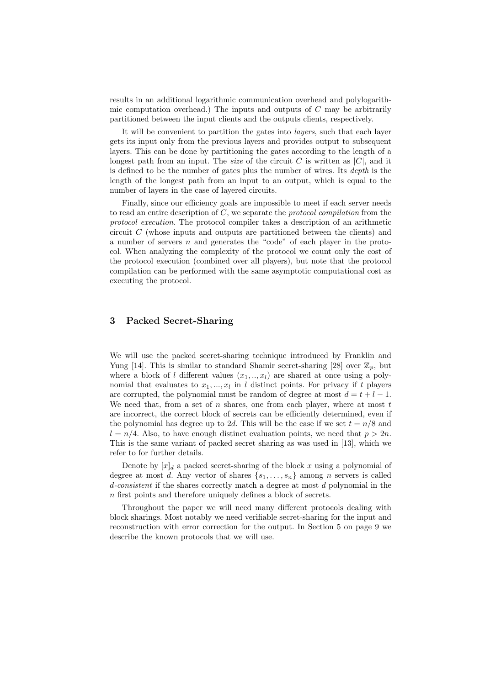results in an additional logarithmic communication overhead and polylogarithmic computation overhead.) The inputs and outputs of  $C$  may be arbitrarily partitioned between the input clients and the outputs clients, respectively.

It will be convenient to partition the gates into layers, such that each layer gets its input only from the previous layers and provides output to subsequent layers. This can be done by partitioning the gates according to the length of a longest path from an input. The *size* of the circuit C is written as  $|C|$ , and it is defined to be the number of gates plus the number of wires. Its depth is the length of the longest path from an input to an output, which is equal to the number of layers in the case of layered circuits.

Finally, since our efficiency goals are impossible to meet if each server needs to read an entire description of  $C$ , we separate the *protocol compilation* from the protocol execution. The protocol compiler takes a description of an arithmetic circuit C (whose inputs and outputs are partitioned between the clients) and a number of servers  $n$  and generates the "code" of each player in the protocol. When analyzing the complexity of the protocol we count only the cost of the protocol execution (combined over all players), but note that the protocol compilation can be performed with the same asymptotic computational cost as executing the protocol.

#### 3 Packed Secret-Sharing

We will use the packed secret-sharing technique introduced by Franklin and Yung [14]. This is similar to standard Shamir secret-sharing [28] over  $\mathbb{Z}_p$ , but where a block of l different values  $(x_1, ..., x_l)$  are shared at once using a polynomial that evaluates to  $x_1, ..., x_l$  in l distinct points. For privacy if t players are corrupted, the polynomial must be random of degree at most  $d = t + l - 1$ . We need that, from a set of  $n$  shares, one from each player, where at most  $t$ are incorrect, the correct block of secrets can be efficiently determined, even if the polynomial has degree up to 2d. This will be the case if we set  $t = n/8$  and  $l = n/4$ . Also, to have enough distinct evaluation points, we need that  $p > 2n$ . This is the same variant of packed secret sharing as was used in [13], which we refer to for further details.

Denote by  $[x]_d$  a packed secret-sharing of the block x using a polynomial of degree at most d. Any vector of shares  $\{s_1, \ldots, s_n\}$  among n servers is called d-consistent if the shares correctly match a degree at most d polynomial in the n first points and therefore uniquely defines a block of secrets.

Throughout the paper we will need many different protocols dealing with block sharings. Most notably we need verifiable secret-sharing for the input and reconstruction with error correction for the output. In Section 5 on page 9 we describe the known protocols that we will use.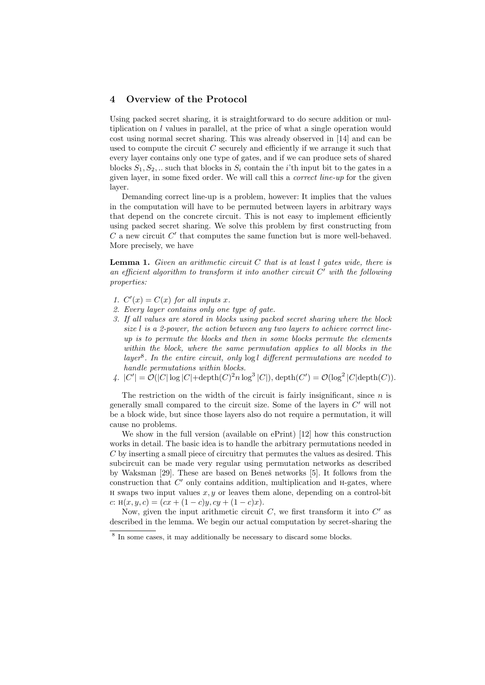# 4 Overview of the Protocol

Using packed secret sharing, it is straightforward to do secure addition or multiplication on l values in parallel, at the price of what a single operation would cost using normal secret sharing. This was already observed in [14] and can be used to compute the circuit  $C$  securely and efficiently if we arrange it such that every layer contains only one type of gates, and if we can produce sets of shared blocks  $S_1, S_2, ...$  such that blocks in  $S_i$  contain the *i*'th input bit to the gates in a given layer, in some fixed order. We will call this a correct line-up for the given layer.

Demanding correct line-up is a problem, however: It implies that the values in the computation will have to be permuted between layers in arbitrary ways that depend on the concrete circuit. This is not easy to implement efficiently using packed secret sharing. We solve this problem by first constructing from  $C$  a new circuit  $C'$  that computes the same function but is more well-behaved. More precisely, we have

**Lemma 1.** Given an arithmetic circuit  $C$  that is at least  $l$  gates wide, there is an efficient algorithm to transform it into another circuit  $C'$  with the following properties:

- 1.  $C'(x) = C(x)$  for all inputs x.
- 2. Every layer contains only one type of gate.
- 3. If all values are stored in blocks using packed secret sharing where the block size l is a 2-power, the action between any two layers to achieve correct lineup is to permute the blocks and then in some blocks permute the elements within the block, where the same permutation applies to all blocks in the layer<sup>8</sup>. In the entire circuit, only  $\log l$  different permutations are needed to handle permutations within blocks.
- 4.  $|C'| = \mathcal{O}(|C| \log |C| + \operatorname{depth}(C)^2 n \log^3 |C|)$ ,  $\operatorname{depth}(C') = \mathcal{O}(\log^2 |C| \operatorname{depth}(C))$ .

The restriction on the width of the circuit is fairly insignificant, since  $n$  is generally small compared to the circuit size. Some of the layers in  $C'$  will not be a block wide, but since those layers also do not require a permutation, it will cause no problems.

We show in the full version (available on ePrint) [12] how this construction works in detail. The basic idea is to handle the arbitrary permutations needed in C by inserting a small piece of circuitry that permutes the values as desired. This subcircuit can be made very regular using permutation networks as described by Waksman [29]. These are based on Beneš networks [5]. It follows from the construction that  $C'$  only contains addition, multiplication and H-gates, where H swaps two input values  $x, y$  or leaves them alone, depending on a control-bit c:  $h(x, y, c) = (cx + (1 - c)y, cy + (1 - c)x).$ 

Now, given the input arithmetic circuit  $C$ , we first transform it into  $C'$  as described in the lemma. We begin our actual computation by secret-sharing the

<sup>&</sup>lt;sup>8</sup> In some cases, it may additionally be necessary to discard some blocks.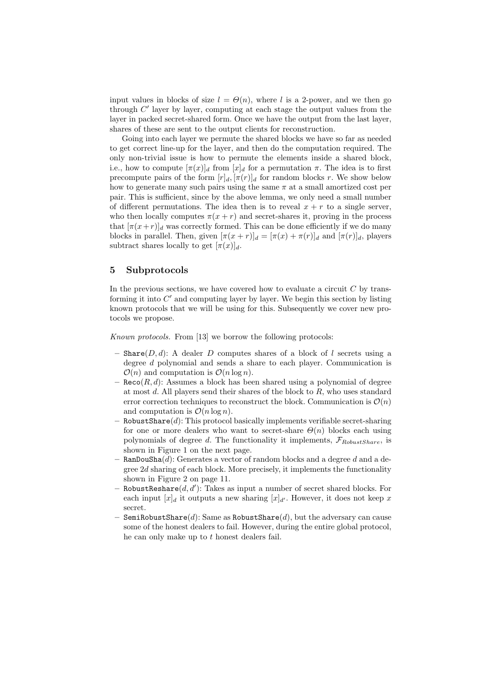input values in blocks of size  $l = \Theta(n)$ , where l is a 2-power, and we then go through  $C'$  layer by layer, computing at each stage the output values from the layer in packed secret-shared form. Once we have the output from the last layer, shares of these are sent to the output clients for reconstruction.

Going into each layer we permute the shared blocks we have so far as needed to get correct line-up for the layer, and then do the computation required. The only non-trivial issue is how to permute the elements inside a shared block, i.e., how to compute  $[\pi(x)]_d$  from  $[x]_d$  for a permutation  $\pi$ . The idea is to first precompute pairs of the form  $[r]_d$ ,  $[\pi(r)]_d$  for random blocks r. We show below how to generate many such pairs using the same  $\pi$  at a small amortized cost per pair. This is sufficient, since by the above lemma, we only need a small number of different permutations. The idea then is to reveal  $x + r$  to a single server, who then locally computes  $\pi(x + r)$  and secret-shares it, proving in the process that  $[\pi(x+r)]_d$  was correctly formed. This can be done efficiently if we do many blocks in parallel. Then, given  $[\pi(x+r)]_d = [\pi(x)+\pi(r)]_d$  and  $[\pi(r)]_d$ , players subtract shares locally to get  $[\pi(x)]_d$ .

## 5 Subprotocols

In the previous sections, we have covered how to evaluate a circuit  $C$  by transforming it into  $C'$  and computing layer by layer. We begin this section by listing known protocols that we will be using for this. Subsequently we cover new protocols we propose.

Known protocols. From [13] we borrow the following protocols:

- Share $(D, d)$ : A dealer D computes shares of a block of l secrets using a degree d polynomial and sends a share to each player. Communication is  $\mathcal{O}(n)$  and computation is  $\mathcal{O}(n \log n)$ .
- Reco( $R, d$ ): Assumes a block has been shared using a polynomial of degree at most  $d$ . All players send their shares of the block to  $R$ , who uses standard error correction techniques to reconstruct the block. Communication is  $\mathcal{O}(n)$ and computation is  $\mathcal{O}(n \log n)$ .
- $RobustShare(d):$  This protocol basically implements verifiable secret-sharing for one or more dealers who want to secret-share  $\Theta(n)$  blocks each using polynomials of degree d. The functionality it implements,  $\mathcal{F}_{RobustShare}$ , is shown in Figure 1 on the next page.
- RanDouSha(d): Generates a vector of random blocks and a degree d and a degree 2d sharing of each block. More precisely, it implements the functionality shown in Figure 2 on page 11.
- RobustReshare $(d, d')$ : Takes as input a number of secret shared blocks. For each input  $[x]_d$  it outputs a new sharing  $[x]_{d'}$ . However, it does not keep x secret.
- SemiRobustShare(d): Same as RobustShare(d), but the adversary can cause some of the honest dealers to fail. However, during the entire global protocol, he can only make up to t honest dealers fail.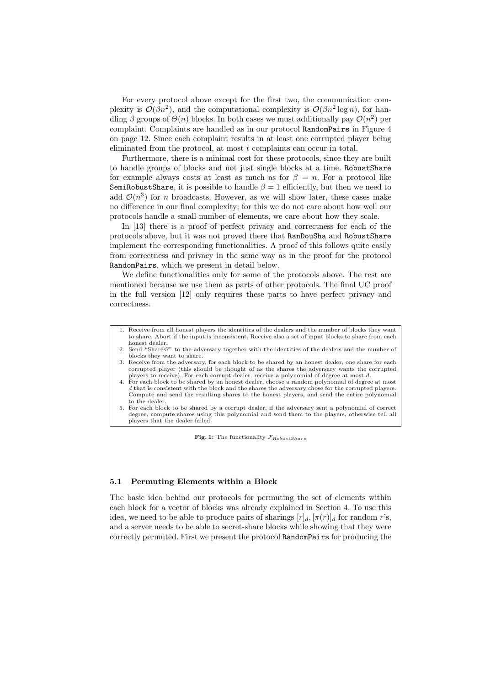For every protocol above except for the first two, the communication complexity is  $\mathcal{O}(\beta n^2)$ , and the computational complexity is  $\mathcal{O}(\beta n^2 \log n)$ , for handling  $\beta$  groups of  $\Theta(n)$  blocks. In both cases we must additionally pay  $\mathcal{O}(n^2)$  per complaint. Complaints are handled as in our protocol RandomPairs in Figure 4 on page 12. Since each complaint results in at least one corrupted player being eliminated from the protocol, at most  $t$  complaints can occur in total.

Furthermore, there is a minimal cost for these protocols, since they are built to handle groups of blocks and not just single blocks at a time. RobustShare for example always costs at least as much as for  $\beta = n$ . For a protocol like SemiRobustShare, it is possible to handle  $\beta = 1$  efficiently, but then we need to add  $\mathcal{O}(n^3)$  for *n* broadcasts. However, as we will show later, these cases make no difference in our final complexity; for this we do not care about how well our protocols handle a small number of elements, we care about how they scale.

In [13] there is a proof of perfect privacy and correctness for each of the protocols above, but it was not proved there that RanDouSha and RobustShare implement the corresponding functionalities. A proof of this follows quite easily from correctness and privacy in the same way as in the proof for the protocol RandomPairs, which we present in detail below.

We define functionalities only for some of the protocols above. The rest are mentioned because we use them as parts of other protocols. The final UC proof in the full version [12] only requires these parts to have perfect privacy and correctness.

- 1. Receive from all honest players the identities of the dealers and the number of blocks they want to share. Abort if the input is inconsistent. Receive also a set of input blocks to share from each honest dealer.
- 2. Send "Shares?" to the adversary together with the identities of the dealers and the number of blocks they want to share.
- 3. Receive from the adversary, for each block to be shared by an honest dealer, one share for each corrupted player (this should be thought of as the shares the adversary wants the corrupted
- players to receive). For each corrupt dealer, receive a polynomial of degree at most d.<br>4. For each block to be shared by an honest dealer, choose a random polynomial of degree at most d that is consistent with the block and the shares the adversary chose for the corrupted players. Compute and send the resulting shares to the honest players, and send the entire polynomial to the dealer.
- 5. For each block to be shared by a corrupt dealer, if the adversary sent a polynomial of correct degree, compute shares using this polynomial and send them to the players, otherwise tell all players that the dealer failed.

Fig. 1: The functionality  $\mathcal{F}_{RobustShare}$ 

#### 5.1 Permuting Elements within a Block

The basic idea behind our protocols for permuting the set of elements within each block for a vector of blocks was already explained in Section 4. To use this idea, we need to be able to produce pairs of sharings  $[r]_d$ ,  $[\pi(r)]_d$  for random r's, and a server needs to be able to secret-share blocks while showing that they were correctly permuted. First we present the protocol RandomPairs for producing the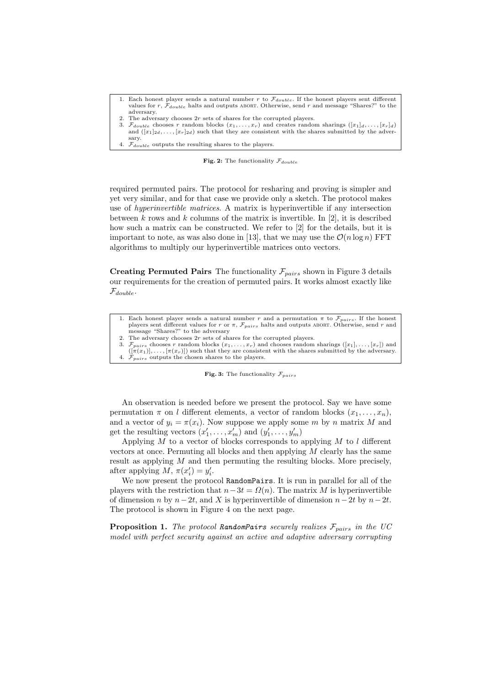- Each honest player sends a natural number  $r$  to  $\mathcal{F}_{double}$ . If the honest players sent different values for  $r$ ,  $\mathcal{F}_{double}$  halts and outputs ABORT. Otherwise, send r and message "Shares?" to the adversary.
- The adversary chooses  $2r$  sets of shares for the corrupted players.
- 3.  $\mathcal{F}_{double}$  chooses r random blocks  $(x_1, \ldots, x_r)$  and creates random sharings  $([x_1]_d, \ldots, [x_r]_d)$ and  $([x_1]_{2d}, \ldots, [x_r]_{2d})$  such that they are consistent with the shares submitted by the adversary.
- 4.  $\mathcal{F}_{double}$  outputs the resulting shares to the players.



required permuted pairs. The protocol for resharing and proving is simpler and yet very similar, and for that case we provide only a sketch. The protocol makes use of hyperinvertible matrices. A matrix is hyperinvertible if any intersection between k rows and k columns of the matrix is invertible. In  $[2]$ , it is described how such a matrix can be constructed. We refer to [2] for the details, but it is important to note, as was also done in [13], that we may use the  $\mathcal{O}(n \log n)$  FFT algorithms to multiply our hyperinvertible matrices onto vectors.

**Creating Permuted Pairs** The functionality  $\mathcal{F}_{pairs}$  shown in Figure 3 details our requirements for the creation of permuted pairs. It works almost exactly like  $\mathcal{F}_{double}$ .

- 1. Each honest player sends a natural number r and a permutation  $\pi$  to  $\mathcal{F}_{pairs}$ . If the honest players sent different values for r or  $\pi$ ,  $\mathcal{F}_{pairs}$  halts and outputs ABORT. Otherwise, send r and message "Shares?" to the adversary
- 2. The adversary chooses  $2r$  sets of shares for the corrupted players.<br>3.  $\mathcal{F}_{noirs}$  chooses r random blocks  $(x_1, \ldots, x_r)$  and chooses random
- $\mathcal{F}_{pairs}$  chooses r random blocks  $(x_1, \ldots, x_r)$  and chooses random sharings  $([x_1], \ldots, [x_r])$  and  $([\pi(x_1)], \ldots, [\pi(x_r)])$  such that they are consistent with the shares submitted by the adversary.
- 4.  $F_{pairs}$  outputs the chosen shares to the players.



An observation is needed before we present the protocol. Say we have some permutation  $\pi$  on l different elements, a vector of random blocks  $(x_1, \ldots, x_n)$ , and a vector of  $y_i = \pi(x_i)$ . Now suppose we apply some m by n matrix M and get the resulting vectors  $(x'_1, \ldots, x'_m)$  and  $(y'_1, \ldots, y'_m)$ 

Applying  $\overline{M}$  to a vector of blocks corresponds to applying  $\overline{M}$  to l different vectors at once. Permuting all blocks and then applying  $M$  clearly has the same result as applying M and then permuting the resulting blocks. More precisely, after applying  $M$ ,  $\pi(x_i') = y_i'$ .

We now present the protocol RandomPairs. It is run in parallel for all of the players with the restriction that  $n-3t = \Omega(n)$ . The matrix M is hyperinvertible of dimension n by  $n-2t$ , and X is hyperinvertible of dimension  $n-2t$  by  $n-2t$ . The protocol is shown in Figure 4 on the next page.

**Proposition 1.** The protocol RandomPairs securely realizes  $\mathcal{F}_{pairs}$  in the UC model with perfect security against an active and adaptive adversary corrupting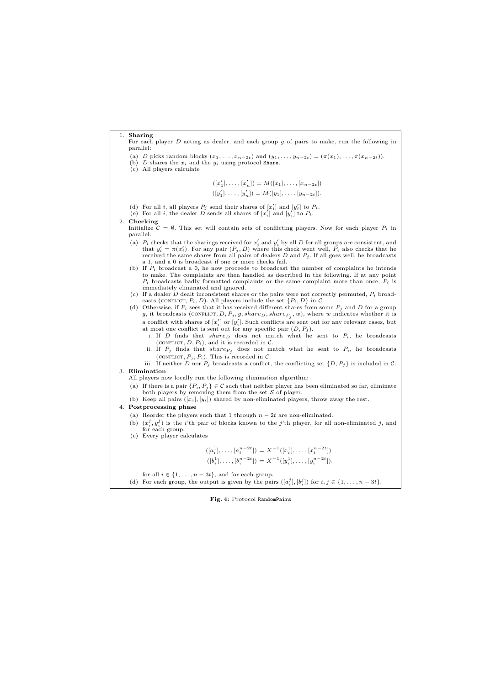

Fig. 4: Protocol RandomPairs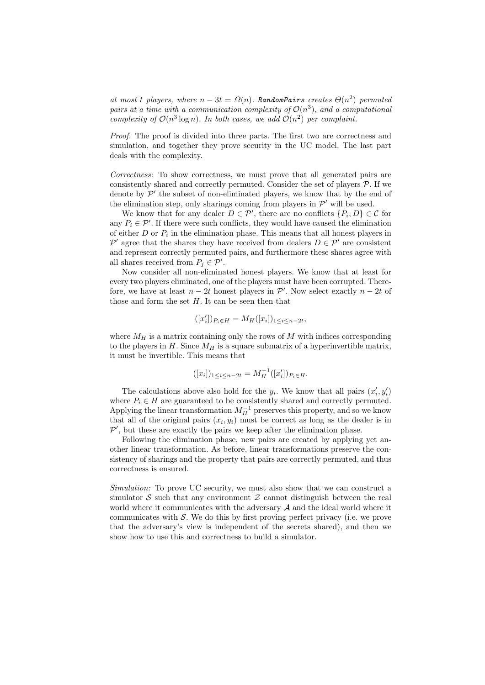at most t players, where  $n-3t = \Omega(n)$ . RandomPairs creates  $\Theta(n^2)$  permuted pairs at a time with a communication complexity of  $\mathcal{O}(n^3)$ , and a computational complexity of  $\mathcal{O}(n^3 \log n)$ . In both cases, we add  $\mathcal{O}(n^2)$  per complaint.

Proof. The proof is divided into three parts. The first two are correctness and simulation, and together they prove security in the UC model. The last part deals with the complexity.

Correctness: To show correctness, we must prove that all generated pairs are consistently shared and correctly permuted. Consider the set of players  $P$ . If we denote by  $\mathcal{P}'$  the subset of non-eliminated players, we know that by the end of the elimination step, only sharings coming from players in  $\mathcal{P}'$  will be used.

We know that for any dealer  $D \in \mathcal{P}'$ , there are no conflicts  $\{P_i, D\} \in \mathcal{C}$  for any  $P_i \in \mathcal{P}'$ . If there were such conflicts, they would have caused the elimination of either  $D$  or  $P_i$  in the elimination phase. This means that all honest players in  $\mathcal{P}'$  agree that the shares they have received from dealers  $D \in \mathcal{P}'$  are consistent and represent correctly permuted pairs, and furthermore these shares agree with all shares received from  $P_j \in \mathcal{P}'$ .

Now consider all non-eliminated honest players. We know that at least for every two players eliminated, one of the players must have been corrupted. Therefore, we have at least  $n - 2t$  honest players in  $\mathcal{P}'$ . Now select exactly  $n - 2t$  of those and form the set  $H$ . It can be seen then that

$$
([x'_i])_{P_i \in H} = M_H([x_i])_{1 \le i \le n-2t},
$$

where  $M_H$  is a matrix containing only the rows of  $M$  with indices corresponding to the players in  $H$ . Since  $M_H$  is a square submatrix of a hyperinvertible matrix, it must be invertible. This means that

$$
([x_i])_{1 \le i \le n-2t} = M_H^{-1}([x_i'])_{P_i \in H}.
$$

The calculations above also hold for the  $y_i$ . We know that all pairs  $(x'_i, y'_i)$ where  $P_i \in H$  are guaranteed to be consistently shared and correctly permuted. Applying the linear transformation  $M_H^{-1}$  preserves this property, and so we know that all of the original pairs  $(x_i, y_i)$  must be correct as long as the dealer is in  $\mathcal{P}'$ , but these are exactly the pairs we keep after the elimination phase.

Following the elimination phase, new pairs are created by applying yet another linear transformation. As before, linear transformations preserve the consistency of sharings and the property that pairs are correctly permuted, and thus correctness is ensured.

Simulation: To prove UC security, we must also show that we can construct a simulator S such that any environment  $\mathcal Z$  cannot distinguish between the real world where it communicates with the adversary  $A$  and the ideal world where it communicates with  $S$ . We do this by first proving perfect privacy (i.e. we prove that the adversary's view is independent of the secrets shared), and then we show how to use this and correctness to build a simulator.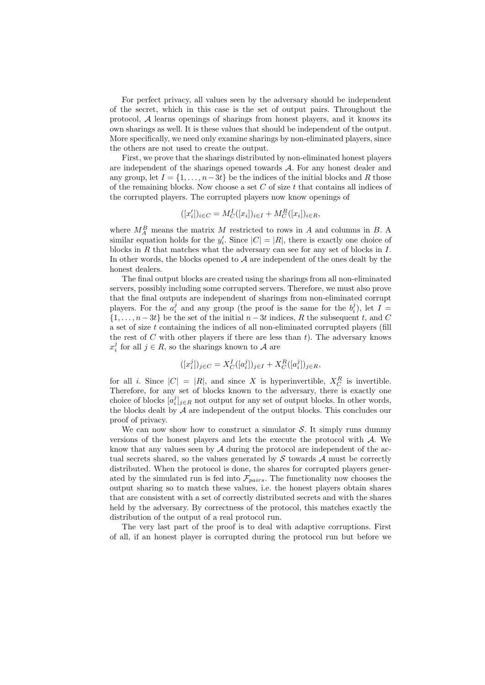For perfect privacy, all values seen by the adversary should be independent of the secret, which in this case is the set of output pairs. Throughout the protocol, A learns openings of sharings from honest players, and it knows its own sharings as well. It is these values that should be independent of the output. More specifically, we need only examine sharings by non-eliminated players, since the others are not used to create the output.

First, we prove that the sharings distributed by non-eliminated honest players are independent of the sharings opened towards A. For any honest dealer and any group, let  $I = \{1, \ldots, n-3t\}$  be the indices of the initial blocks and R those of the remaining blocks. Now choose a set  $C$  of size t that contains all indices of the corrupted players. The corrupted players now know openings of

$$
([x'_{i}])_{i \in C} = M_C^I([x_i])_{i \in I} + M_C^R([x_i])_{i \in R},
$$

where  $M_A^B$  means the matrix M restricted to rows in A and columns in B. A similar equation holds for the  $y_i'$ . Since  $|C| = |R|$ , there is exactly one choice of blocks in R that matches what the adversary can see for any set of blocks in I. In other words, the blocks opened to  $A$  are independent of the ones dealt by the honest dealers.

The final output blocks are created using the sharings from all non-eliminated servers, possibly including some corrupted servers. Therefore, we must also prove that the final outputs are independent of sharings from non-eliminated corrupt players. For the  $a_i^j$  and any group (the proof is the same for the  $b_i^j$ ), let  $I =$  $\{1, \ldots, n-3t\}$  be the set of the initial  $n-3t$  indices, R the subsequent t, and C a set of size  $t$  containing the indices of all non-eliminated corrupted players (fill the rest of  $C$  with other players if there are less than  $t$ ). The adversary knows  $x_i^j$  for all  $j \in R$ , so the sharings known to A are

$$
([x_i^j])_{j \in C} = X_C^I([a_i^j])_{j \in I} + X_C^R([a_i^j])_{j \in R},
$$

for all *i*. Since  $|C| = |R|$ , and since X is hyperinvertible,  $X_C^R$  is invertible. Therefore, for any set of blocks known to the adversary, there is exactly one choice of blocks  $[a_i^j]_{j \in R}$  not output for any set of output blocks. In other words, the blocks dealt by  $A$  are independent of the output blocks. This concludes our proof of privacy.

We can now show how to construct a simulator  $S$ . It simply runs dummy versions of the honest players and lets the execute the protocol with  $A$ . We know that any values seen by  $A$  during the protocol are independent of the actual secrets shared, so the values generated by  $\mathcal S$  towards  $\mathcal A$  must be correctly distributed. When the protocol is done, the shares for corrupted players generated by the simulated run is fed into  $\mathcal{F}_{pairs}$ . The functionality now chooses the output sharing so to match these values, i.e. the honest players obtain shares that are consistent with a set of correctly distributed secrets and with the shares held by the adversary. By correctness of the protocol, this matches exactly the distribution of the output of a real protocol run.

The very last part of the proof is to deal with adaptive corruptions. First of all, if an honest player is corrupted during the protocol run but before we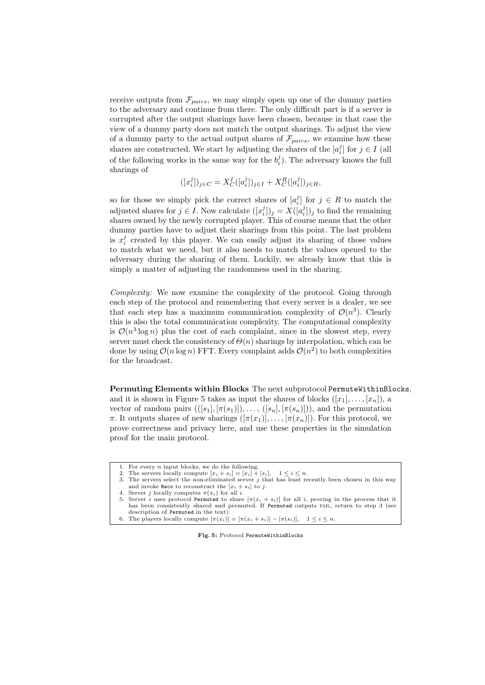receive outputs from  $\mathcal{F}_{pairs}$ , we may simply open up one of the dummy parties to the adversary and continue from there. The only difficult part is if a server is corrupted after the output sharings have been chosen, because in that case the view of a dummy party does not match the output sharings. To adjust the view of a dummy party to the actual output shares of  $\mathcal{F}_{pairs}$ , we examine how these shares are constructed. We start by adjusting the shares of the  $[a_i^j]$  for  $j \in I$  (all of the following works in the same way for the  $b_i^j$ ). The adversary knows the full sharings of

$$
([x_i^j])_{j \in C} = X_C^I([a_i^j])_{j \in I} + X_C^R([a_i^j])_{j \in R},
$$

so for those we simply pick the correct shares of  $[a_i^j]$  for  $j \in R$  to match the adjusted shares for  $j \in I$ . Now calculate  $([x_i^j])_j = X([a_i^j])_j$  to find the remaining shares owned by the newly corrupted player. This of course means that the other dummy parties have to adjust their sharings from this point. The last problem is  $x_i^j$  created by this player. We can easily adjust its sharing of those values to match what we need, but it also needs to match the values opened to the adversary during the sharing of them. Luckily, we already know that this is simply a matter of adjusting the randomness used in the sharing.

Complexity: We now examine the complexity of the protocol. Going through each step of the protocol and remembering that every server is a dealer, we see that each step has a maximum communication complexity of  $\mathcal{O}(n^3)$ . Clearly this is also the total communication complexity. The computational complexity is  $\mathcal{O}(n^3 \log n)$  plus the cost of each complaint, since in the slowest step, every server must check the consistency of  $\Theta(n)$  sharings by interpolation, which can be done by using  $\mathcal{O}(n \log n)$  FFT. Every complaint adds  $\mathcal{O}(n^2)$  to both complexities for the broadcast.

Permuting Elements within Blocks The next subprotocol PermuteWithinBlocks, and it is shown in Figure 5 takes as input the shares of blocks  $([x_1], \ldots, [x_n])$ , a vector of random pairs  $((s_1), [\pi(s_1)]), \ldots, (s_n), [\pi(s_n)]$ ), and the permutation  $\pi$ . It outputs shares of new sharings  $([\pi(x_1)], \ldots, [\pi(x_n)])$ . For this protocol, we prove correctness and privacy here, and use these properties in the simulation proof for the main protocol.

4. Server j locally computes  $\pi(x_i)$  for all i.

5. Server *i* uses protocol Permuted to share  $[\pi(x_i + s_i)]$  for all *i*, proving in the process that it has been consistently shared and permuted. If Permuted outputs FAIL, return to step 3 (see description of Permuted in the text).

6. The players locally compute  $[\pi(x_i)] = [\pi(x_i + s_i)] - [\pi(s_i)], \quad 1 \leq i \leq n.$ 

#### Fig. 5: Protocol PermuteWithinBlocks

<sup>1.</sup> For every  $n$  input blocks, we do the following.

The servers locally compute  $[x_i + s_i] = [x_i] + [s_i], \quad 1 \leq i \leq n.$ 

<sup>3.</sup> The servers select the non-eliminated server  $j$  that has least recently been chosen in this way and invoke Reco to reconstruct the  $[x_i + s_i]$  to j.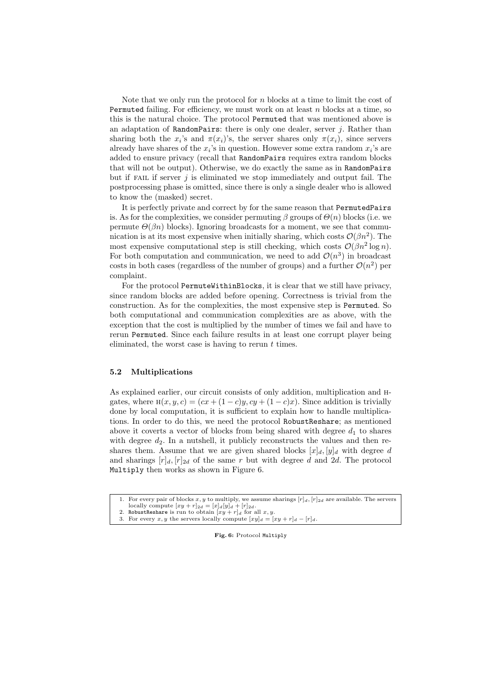Note that we only run the protocol for  $n$  blocks at a time to limit the cost of Permuted failing. For efficiency, we must work on at least  $n$  blocks at a time, so this is the natural choice. The protocol Permuted that was mentioned above is an adaptation of RandomPairs: there is only one dealer, server  $j$ . Rather than sharing both the  $x_i$ 's and  $\pi(x_i)$ 's, the server shares only  $\pi(x_i)$ , since servers already have shares of the  $x_i$ 's in question. However some extra random  $x_i$ 's are added to ensure privacy (recall that RandomPairs requires extra random blocks that will not be output). Otherwise, we do exactly the same as in RandomPairs but if FAIL if server  $j$  is eliminated we stop immediately and output fail. The postprocessing phase is omitted, since there is only a single dealer who is allowed to know the (masked) secret.

It is perfectly private and correct by for the same reason that PermutedPairs is. As for the complexities, we consider permuting  $\beta$  groups of  $\Theta(n)$  blocks (i.e. we permute  $\Theta(\beta n)$  blocks). Ignoring broadcasts for a moment, we see that communication is at its most expensive when initially sharing, which costs  $\mathcal{O}(\beta n^2)$ . The most expensive computational step is still checking, which costs  $\mathcal{O}(\beta n^2 \log n)$ . For both computation and communication, we need to add  $\mathcal{O}(n^3)$  in broadcast costs in both cases (regardless of the number of groups) and a further  $\mathcal{O}(n^2)$  per complaint.

For the protocol PermuteWithinBlocks, it is clear that we still have privacy, since random blocks are added before opening. Correctness is trivial from the construction. As for the complexities, the most expensive step is Permuted. So both computational and communication complexities are as above, with the exception that the cost is multiplied by the number of times we fail and have to rerun Permuted. Since each failure results in at least one corrupt player being eliminated, the worst case is having to rerun  $t$  times.

#### 5.2 Multiplications

As explained earlier, our circuit consists of only addition, multiplication and hgates, where  $H(x, y, c) = (cx + (1 - c)y, cy + (1 - c)x)$ . Since addition is trivially done by local computation, it is sufficient to explain how to handle multiplications. In order to do this, we need the protocol RobustReshare; as mentioned above it coverts a vector of blocks from being shared with degree  $d_1$  to shares with degree  $d_2$ . In a nutshell, it publicly reconstructs the values and then reshares them. Assume that we are given shared blocks  $[x]_d$ ,  $[y]_d$  with degree d and sharings  $[r]_d$ ,  $[r]_{2d}$  of the same r but with degree d and 2d. The protocol Multiply then works as shown in Figure 6.

1. For every pair of blocks x, y to multiply, we assume sharings  $[r]_d$ ,  $[r]_{2d}$  are available. The servers locally compute  $[xy + r]_{2d} = [x]_d[y]_d + [r]_{2d}$ .

- 2. RobustReshare is run to obtain  $[xy + r]_d$  for all x, y.
- 3. For every x, y the servers locally compute  $[xy]_d = [xy + r]_d [r]_d$ .

Fig. 6: Protocol Multiply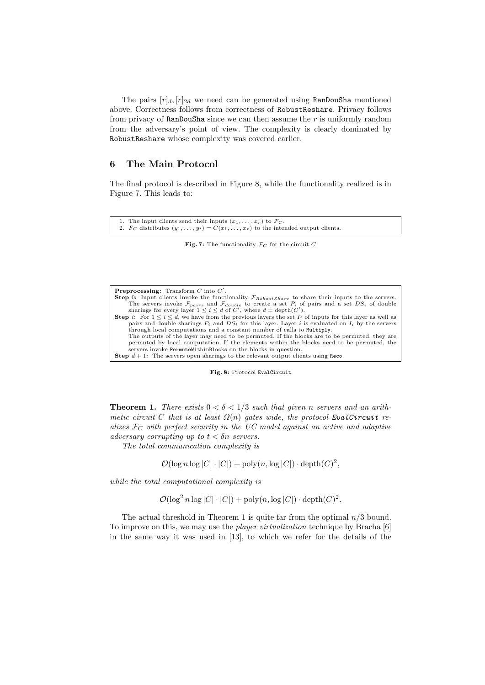The pairs  $[r]_d$ ,  $[r]_{2d}$  we need can be generated using RanDouSha mentioned above. Correctness follows from correctness of RobustReshare. Privacy follows from privacy of RanDouSha since we can then assume the  $r$  is uniformly random from the adversary's point of view. The complexity is clearly dominated by RobustReshare whose complexity was covered earlier.

### 6 The Main Protocol

The final protocol is described in Figure 8, while the functionality realized is in Figure 7. This leads to:

1. The input clients send their inputs  $(x_1, \ldots, x_r)$  to  $\mathcal{F}_C$ . 2.  $F_C$  distributes  $(y_1, \ldots, y_t) = \overline{C}(x_1, \ldots, x_r)$  to the intended output clients.

Fig. 7: The functionality  $\mathcal{F}_C$  for the circuit  $C$ 

| <b>Preprocessing:</b> Transform $C$ into $C'$ .                                                                               |
|-------------------------------------------------------------------------------------------------------------------------------|
| <b>Step 0:</b> Input clients invoke the functionality $\mathcal{F}_{RobustShare}$ to share their inputs to the servers.       |
| The servers invoke $\mathcal{F}_{pairs}$ and $\mathcal{F}_{double}$ to create a set $P_i$ of pairs and a set $DS_i$ of double |
| sharings for every layer $1 \leq i \leq d$ of C', where $d = \text{depth}(C')$ .                                              |
| <b>Step i:</b> For $1 \leq i \leq d$ , we have from the previous layers the set $I_i$ of inputs for this layer as well as     |
| pairs and double sharings $P_i$ and $DS_i$ for this layer. Layer i is evaluated on $I_i$ by the servers                       |
| through local computations and a constant number of calls to Multiply.                                                        |
| The outputs of the layer may need to be permuted. If the blocks are to be permuted, they are                                  |
| permuted by local computation. If the elements within the blocks need to be permuted, the                                     |
| servers invoke PermuteWithinBlocks on the blocks in question.                                                                 |
| <b>Step</b> $d+1$ : The servers open sharings to the relevant output clients using Reco.                                      |

Fig. 8: Protocol EvalCircuit

**Theorem 1.** There exists  $0 < \delta < 1/3$  such that given n servers and an arithmetic circuit C that is at least  $\Omega(n)$  gates wide, the protocol EvalCircuit realizes  $\mathcal{F}_C$  with perfect security in the UC model against an active and adaptive adversary corrupting up to  $t < \delta n$  servers.

The total communication complexity is

 $\mathcal{O}(\log n \log |C| \cdot |C|) + \text{poly}(n, \log |C|) \cdot \text{depth}(C)^2,$ 

while the total computational complexity is

 $\mathcal{O}(\log^2 n \log |C| \cdot |C|) + \text{poly}(n, \log |C|) \cdot \text{depth}(C)^2$ .

The actual threshold in Theorem 1 is quite far from the optimal  $n/3$  bound. To improve on this, we may use the player virtualization technique by Bracha [6] in the same way it was used in [13], to which we refer for the details of the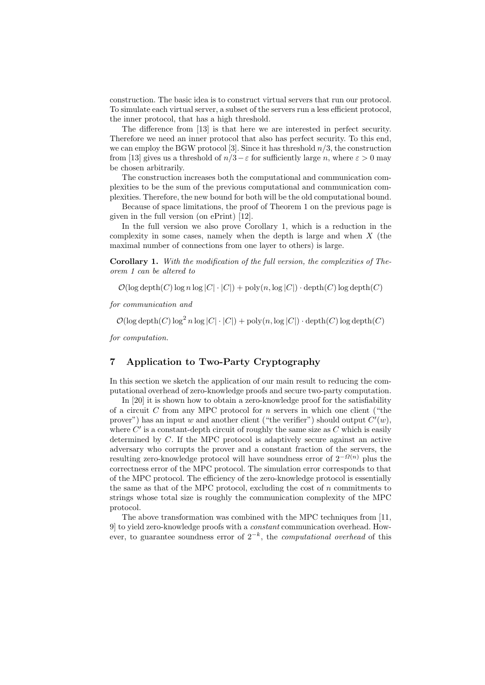construction. The basic idea is to construct virtual servers that run our protocol. To simulate each virtual server, a subset of the servers run a less efficient protocol, the inner protocol, that has a high threshold.

The difference from [13] is that here we are interested in perfect security. Therefore we need an inner protocol that also has perfect security. To this end, we can employ the BGW protocol [3]. Since it has threshold  $n/3$ , the construction from [13] gives us a threshold of  $n/3 - \varepsilon$  for sufficiently large n, where  $\varepsilon > 0$  may be chosen arbitrarily.

The construction increases both the computational and communication complexities to be the sum of the previous computational and communication complexities. Therefore, the new bound for both will be the old computational bound.

Because of space limitations, the proof of Theorem 1 on the previous page is given in the full version (on ePrint) [12].

In the full version we also prove Corollary 1, which is a reduction in the complexity in some cases, namely when the depth is large and when  $X$  (the maximal number of connections from one layer to others) is large.

Corollary 1. With the modification of the full version, the complexities of Theorem 1 can be altered to

 $\mathcal{O}(\log \mathrm{depth}(C) \log n \log |C| \cdot |C|) + \mathrm{poly}(n, \log |C|) \cdot \mathrm{depth}(C) \log \mathrm{depth}(C)$ 

for communication and

 $\mathcal{O}(\log \operatorname{depth}(C) \log^2 n \log |C| \cdot |C|) + \operatorname{poly}(n, \log |C|) \cdot \operatorname{depth}(C) \log \operatorname{depth}(C)$ 

for computation.

# 7 Application to Two-Party Cryptography

In this section we sketch the application of our main result to reducing the computational overhead of zero-knowledge proofs and secure two-party computation.

In [20] it is shown how to obtain a zero-knowledge proof for the satisfiability of a circuit C from any MPC protocol for n servers in which one client ("the prover") has an input w and another client ("the verifier") should output  $C'(w)$ , where  $C'$  is a constant-depth circuit of roughly the same size as  $C$  which is easily determined by C. If the MPC protocol is adaptively secure against an active adversary who corrupts the prover and a constant fraction of the servers, the resulting zero-knowledge protocol will have soundness error of  $2^{-\Omega(n)}$  plus the correctness error of the MPC protocol. The simulation error corresponds to that of the MPC protocol. The efficiency of the zero-knowledge protocol is essentially the same as that of the MPC protocol, excluding the cost of  $n$  commitments to strings whose total size is roughly the communication complexity of the MPC protocol.

The above transformation was combined with the MPC techniques from [11, 9] to yield zero-knowledge proofs with a constant communication overhead. However, to guarantee soundness error of  $2^{-k}$ , the *computational overhead* of this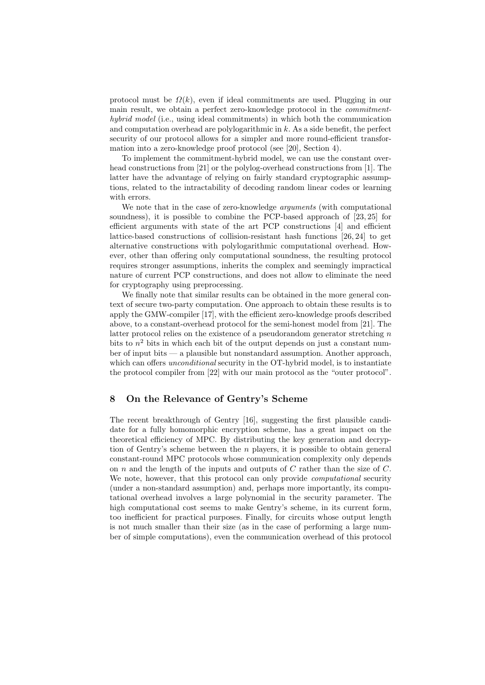protocol must be  $\Omega(k)$ , even if ideal commitments are used. Plugging in our main result, we obtain a perfect zero-knowledge protocol in the commitmenthybrid model (i.e., using ideal commitments) in which both the communication and computation overhead are polylogarithmic in  $k$ . As a side benefit, the perfect security of our protocol allows for a simpler and more round-efficient transformation into a zero-knowledge proof protocol (see [20], Section 4).

To implement the commitment-hybrid model, we can use the constant overhead constructions from [21] or the polylog-overhead constructions from [1]. The latter have the advantage of relying on fairly standard cryptographic assumptions, related to the intractability of decoding random linear codes or learning with errors.

We note that in the case of zero-knowledge *arguments* (with computational soundness), it is possible to combine the PCP-based approach of [23, 25] for efficient arguments with state of the art PCP constructions [4] and efficient lattice-based constructions of collision-resistant hash functions [26, 24] to get alternative constructions with polylogarithmic computational overhead. However, other than offering only computational soundness, the resulting protocol requires stronger assumptions, inherits the complex and seemingly impractical nature of current PCP constructions, and does not allow to eliminate the need for cryptography using preprocessing.

We finally note that similar results can be obtained in the more general context of secure two-party computation. One approach to obtain these results is to apply the GMW-compiler [17], with the efficient zero-knowledge proofs described above, to a constant-overhead protocol for the semi-honest model from [21]. The latter protocol relies on the existence of a pseudorandom generator stretching  $n$ bits to  $n^2$  bits in which each bit of the output depends on just a constant number of input bits — a plausible but nonstandard assumption. Another approach, which can offers *unconditional* security in the OT-hybrid model, is to instantiate the protocol compiler from [22] with our main protocol as the "outer protocol".

## 8 On the Relevance of Gentry's Scheme

The recent breakthrough of Gentry [16], suggesting the first plausible candidate for a fully homomorphic encryption scheme, has a great impact on the theoretical efficiency of MPC. By distributing the key generation and decryption of Gentry's scheme between the  $n$  players, it is possible to obtain general constant-round MPC protocols whose communication complexity only depends on  $n$  and the length of the inputs and outputs of  $C$  rather than the size of  $C$ . We note, however, that this protocol can only provide *computational* security (under a non-standard assumption) and, perhaps more importantly, its computational overhead involves a large polynomial in the security parameter. The high computational cost seems to make Gentry's scheme, in its current form, too inefficient for practical purposes. Finally, for circuits whose output length is not much smaller than their size (as in the case of performing a large number of simple computations), even the communication overhead of this protocol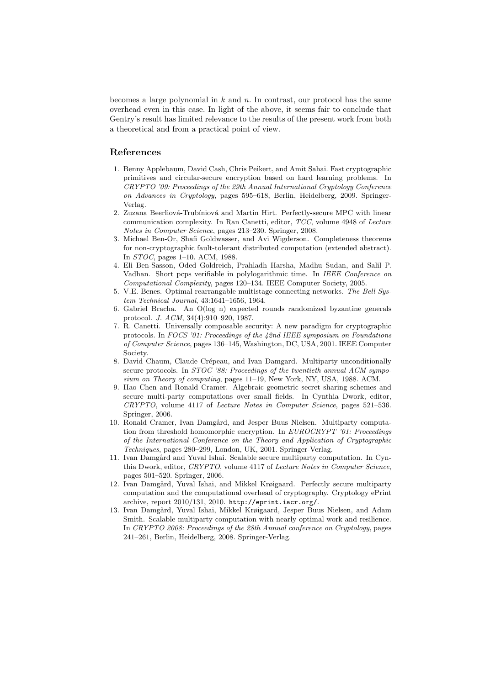becomes a large polynomial in  $k$  and  $n$ . In contrast, our protocol has the same overhead even in this case. In light of the above, it seems fair to conclude that Gentry's result has limited relevance to the results of the present work from both a theoretical and from a practical point of view.

#### References

- 1. Benny Applebaum, David Cash, Chris Peikert, and Amit Sahai. Fast cryptographic primitives and circular-secure encryption based on hard learning problems. In CRYPTO '09: Proceedings of the 29th Annual International Cryptology Conference on Advances in Cryptology, pages 595–618, Berlin, Heidelberg, 2009. Springer-Verlag.
- 2. Zuzana Beerliová-Trubíniová and Martin Hirt. Perfectly-secure MPC with linear communication complexity. In Ran Canetti, editor, TCC, volume 4948 of Lecture Notes in Computer Science, pages 213–230. Springer, 2008.
- 3. Michael Ben-Or, Shafi Goldwasser, and Avi Wigderson. Completeness theorems for non-cryptographic fault-tolerant distributed computation (extended abstract). In STOC, pages 1–10. ACM, 1988.
- 4. Eli Ben-Sasson, Oded Goldreich, Prahladh Harsha, Madhu Sudan, and Salil P. Vadhan. Short pcps verifiable in polylogarithmic time. In IEEE Conference on Computational Complexity, pages 120–134. IEEE Computer Society, 2005.
- 5. V.E. Benes. Optimal rearrangable multistage connecting networks. The Bell System Technical Journal, 43:1641–1656, 1964.
- 6. Gabriel Bracha. An O(log n) expected rounds randomized byzantine generals protocol. J. ACM, 34(4):910–920, 1987.
- 7. R. Canetti. Universally composable security: A new paradigm for cryptographic protocols. In FOCS '01: Proceedings of the 42nd IEEE symposium on Foundations of Computer Science, pages 136–145, Washington, DC, USA, 2001. IEEE Computer Society.
- 8. David Chaum, Claude Crépeau, and Ivan Damgard. Multiparty unconditionally secure protocols. In *STOC* '88: Proceedings of the twentieth annual ACM symposium on Theory of computing, pages 11–19, New York, NY, USA, 1988. ACM.
- 9. Hao Chen and Ronald Cramer. Algebraic geometric secret sharing schemes and secure multi-party computations over small fields. In Cynthia Dwork, editor, CRYPTO, volume 4117 of Lecture Notes in Computer Science, pages 521–536. Springer, 2006.
- 10. Ronald Cramer, Ivan Damgård, and Jesper Buus Nielsen. Multiparty computation from threshold homomorphic encryption. In EUROCRYPT '01: Proceedings of the International Conference on the Theory and Application of Cryptographic Techniques, pages 280–299, London, UK, 2001. Springer-Verlag.
- 11. Ivan Damgård and Yuval Ishai. Scalable secure multiparty computation. In Cynthia Dwork, editor, CRYPTO, volume 4117 of Lecture Notes in Computer Science, pages 501–520. Springer, 2006.
- 12. Ivan Damgård, Yuval Ishai, and Mikkel Krøigaard. Perfectly secure multiparty computation and the computational overhead of cryptography. Cryptology ePrint archive, report 2010/131, 2010. http://eprint.iacr.org/.
- 13. Ivan Damgård, Yuval Ishai, Mikkel Krøigaard, Jesper Buus Nielsen, and Adam Smith. Scalable multiparty computation with nearly optimal work and resilience. In CRYPTO 2008: Proceedings of the 28th Annual conference on Cryptology, pages 241–261, Berlin, Heidelberg, 2008. Springer-Verlag.